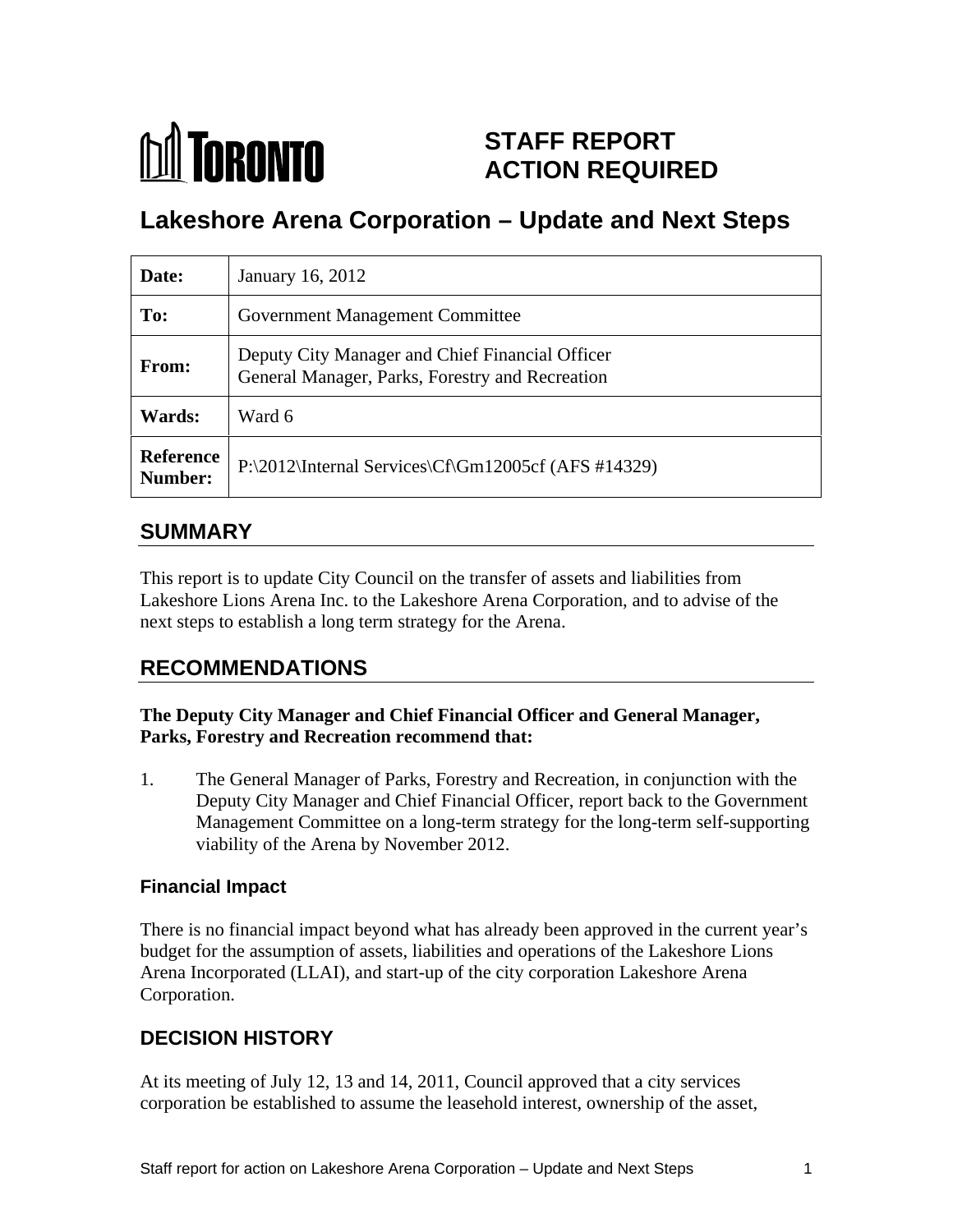

# **STAFF REPORT ACTION REQUIRED**

# **Lakeshore Arena Corporation – Update and Next Steps**

| Date:        | January 16, 2012                                                                                   |
|--------------|----------------------------------------------------------------------------------------------------|
| To:          | <b>Government Management Committee</b>                                                             |
| <b>From:</b> | Deputy City Manager and Chief Financial Officer<br>General Manager, Parks, Forestry and Recreation |
| Wards:       | Ward 6                                                                                             |
| Number:      | Reference $P:\2012\{\text{internal Services}\Cf\Gm12005cf (AFS #14329)\}$                          |

## **SUMMARY**

This report is to update City Council on the transfer of assets and liabilities from Lakeshore Lions Arena Inc. to the Lakeshore Arena Corporation, and to advise of the next steps to establish a long term strategy for the Arena.

## **RECOMMENDATIONS**

#### **The Deputy City Manager and Chief Financial Officer and General Manager, Parks, Forestry and Recreation recommend that:**

1. The General Manager of Parks, Forestry and Recreation, in conjunction with the Deputy City Manager and Chief Financial Officer, report back to the Government Management Committee on a long-term strategy for the long-term self-supporting viability of the Arena by November 2012.

### **Financial Impact**

There is no financial impact beyond what has already been approved in the current year's budget for the assumption of assets, liabilities and operations of the Lakeshore Lions Arena Incorporated (LLAI), and start-up of the city corporation Lakeshore Arena Corporation.

## **DECISION HISTORY**

At its meeting of July 12, 13 and 14, 2011, Council approved that a city services corporation be established to assume the leasehold interest, ownership of the asset,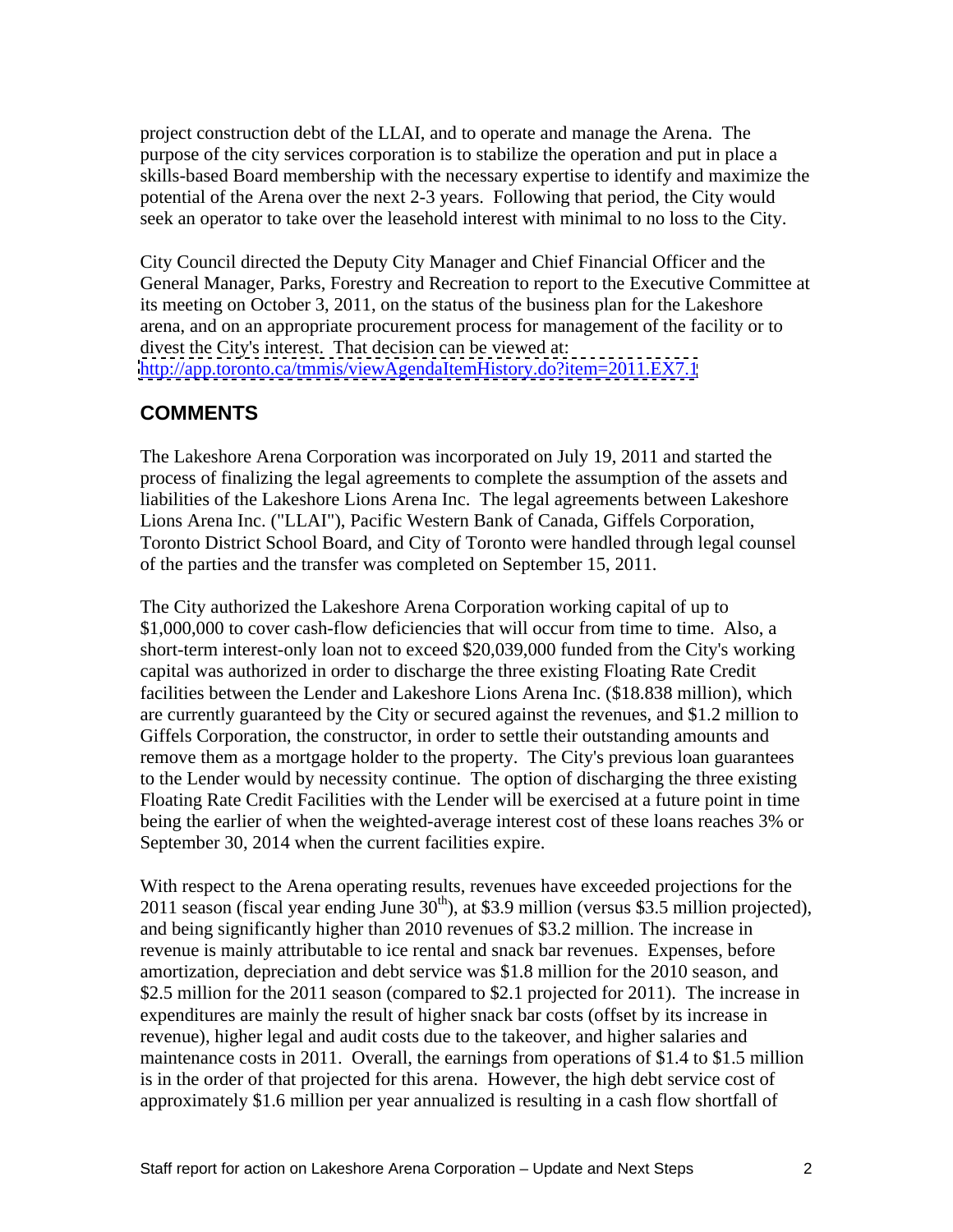project construction debt of the LLAI, and to operate and manage the Arena. The purpose of the city services corporation is to stabilize the operation and put in place a skills-based Board membership with the necessary expertise to identify and maximize the potential of the Arena over the next 2-3 years. Following that period, the City would seek an operator to take over the leasehold interest with minimal to no loss to the City.

City Council directed the Deputy City Manager and Chief Financial Officer and the General Manager, Parks, Forestry and Recreation to report to the Executive Committee at its meeting on October 3, 2011, on the status of the business plan for the Lakeshore arena, and on an appropriate procurement process for management of the facility or to divest the City's interest. That decision can be viewed at: <http://app.toronto.ca/tmmis/viewAgendaItemHistory.do?item=2011.EX7.1>

#### **COMMENTS**

The Lakeshore Arena Corporation was incorporated on July 19, 2011 and started the process of finalizing the legal agreements to complete the assumption of the assets and liabilities of the Lakeshore Lions Arena Inc. The legal agreements between Lakeshore Lions Arena Inc. ("LLAI"), Pacific Western Bank of Canada, Giffels Corporation, Toronto District School Board, and City of Toronto were handled through legal counsel of the parties and the transfer was completed on September 15, 2011.

The City authorized the Lakeshore Arena Corporation working capital of up to \$1,000,000 to cover cash-flow deficiencies that will occur from time to time. Also, a short-term interest-only loan not to exceed \$20,039,000 funded from the City's working capital was authorized in order to discharge the three existing Floating Rate Credit facilities between the Lender and Lakeshore Lions Arena Inc. (\$18.838 million), which are currently guaranteed by the City or secured against the revenues, and \$1.2 million to Giffels Corporation, the constructor, in order to settle their outstanding amounts and remove them as a mortgage holder to the property. The City's previous loan guarantees to the Lender would by necessity continue. The option of discharging the three existing Floating Rate Credit Facilities with the Lender will be exercised at a future point in time being the earlier of when the weighted-average interest cost of these loans reaches 3% or September 30, 2014 when the current facilities expire.

With respect to the Arena operating results, revenues have exceeded projections for the 2011 season (fiscal year ending June  $30<sup>th</sup>$ ), at \$3.9 million (versus \$3.5 million projected), and being significantly higher than 2010 revenues of \$3.2 million. The increase in revenue is mainly attributable to ice rental and snack bar revenues. Expenses, before amortization, depreciation and debt service was \$1.8 million for the 2010 season, and \$2.5 million for the 2011 season (compared to \$2.1 projected for 2011). The increase in expenditures are mainly the result of higher snack bar costs (offset by its increase in revenue), higher legal and audit costs due to the takeover, and higher salaries and maintenance costs in 2011. Overall, the earnings from operations of \$1.4 to \$1.5 million is in the order of that projected for this arena. However, the high debt service cost of approximately \$1.6 million per year annualized is resulting in a cash flow shortfall of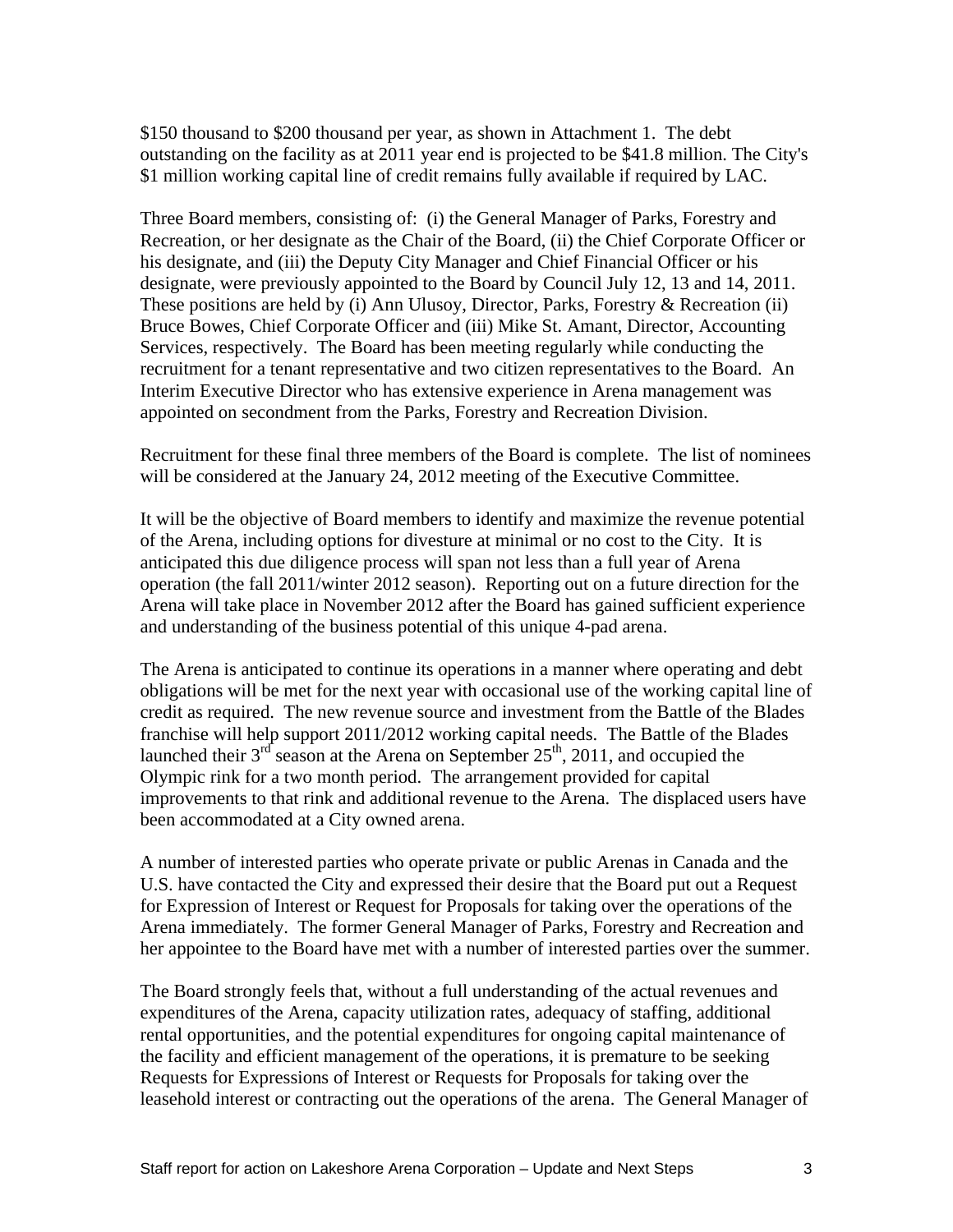\$150 thousand to \$200 thousand per year, as shown in Attachment 1. The debt outstanding on the facility as at 2011 year end is projected to be \$41.8 million. The City's \$1 million working capital line of credit remains fully available if required by LAC.

Three Board members, consisting of: (i) the General Manager of Parks, Forestry and Recreation, or her designate as the Chair of the Board, (ii) the Chief Corporate Officer or his designate, and (iii) the Deputy City Manager and Chief Financial Officer or his designate, were previously appointed to the Board by Council July 12, 13 and 14, 2011. These positions are held by (i) Ann Ulusoy, Director, Parks, Forestry & Recreation (ii) Bruce Bowes, Chief Corporate Officer and (iii) Mike St. Amant, Director, Accounting Services, respectively. The Board has been meeting regularly while conducting the recruitment for a tenant representative and two citizen representatives to the Board. An Interim Executive Director who has extensive experience in Arena management was appointed on secondment from the Parks, Forestry and Recreation Division. Recruitment for these final three members of the Board is complete. The list of nominees

will be considered at the January 24, 2012 meeting of the Executive Committee.

It will be the objective of Board members to identify and maximize the revenue potential of the Arena, including options for divesture at minimal or no cost to the City. It is anticipated this due diligence process will span not less than a full year of Arena operation (the fall 2011/winter 2012 season). Reporting out on a future direction for the Arena will take place in November 2012 after the Board has gained sufficient experience and understanding of the business potential of this unique 4-pad arena.

The Arena is anticipated to continue its operations in a manner where operating and debt obligations will be met for the next year with occasional use of the working capital line of credit as required. The new revenue source and investment from the Battle of the Blades franchise will help support 2011/2012 working capital needs. The Battle of the Blades launched their  $3<sup>rd</sup>$  season at the Arena on September 25<sup>th</sup>, 2011, and occupied the Olympic rink for a two month period. The arrangement provided for capital improvements to that rink and additional revenue to the Arena. The displaced users have been accommodated at a City owned arena.

A number of interested parties who operate private or public Arenas in Canada and the U.S. have contacted the City and expressed their desire that the Board put out a Request for Expression of Interest or Request for Proposals for taking over the operations of the Arena immediately. The former General Manager of Parks, Forestry and Recreation and her appointee to the Board have met with a number of interested parties over the summer.

The Board strongly feels that, without a full understanding of the actual revenues and expenditures of the Arena, capacity utilization rates, adequacy of staffing, additional rental opportunities, and the potential expenditures for ongoing capital maintenance of the facility and efficient management of the operations, it is premature to be seeking Requests for Expressions of Interest or Requests for Proposals for taking over the leasehold interest or contracting out the operations of the arena. The General Manager of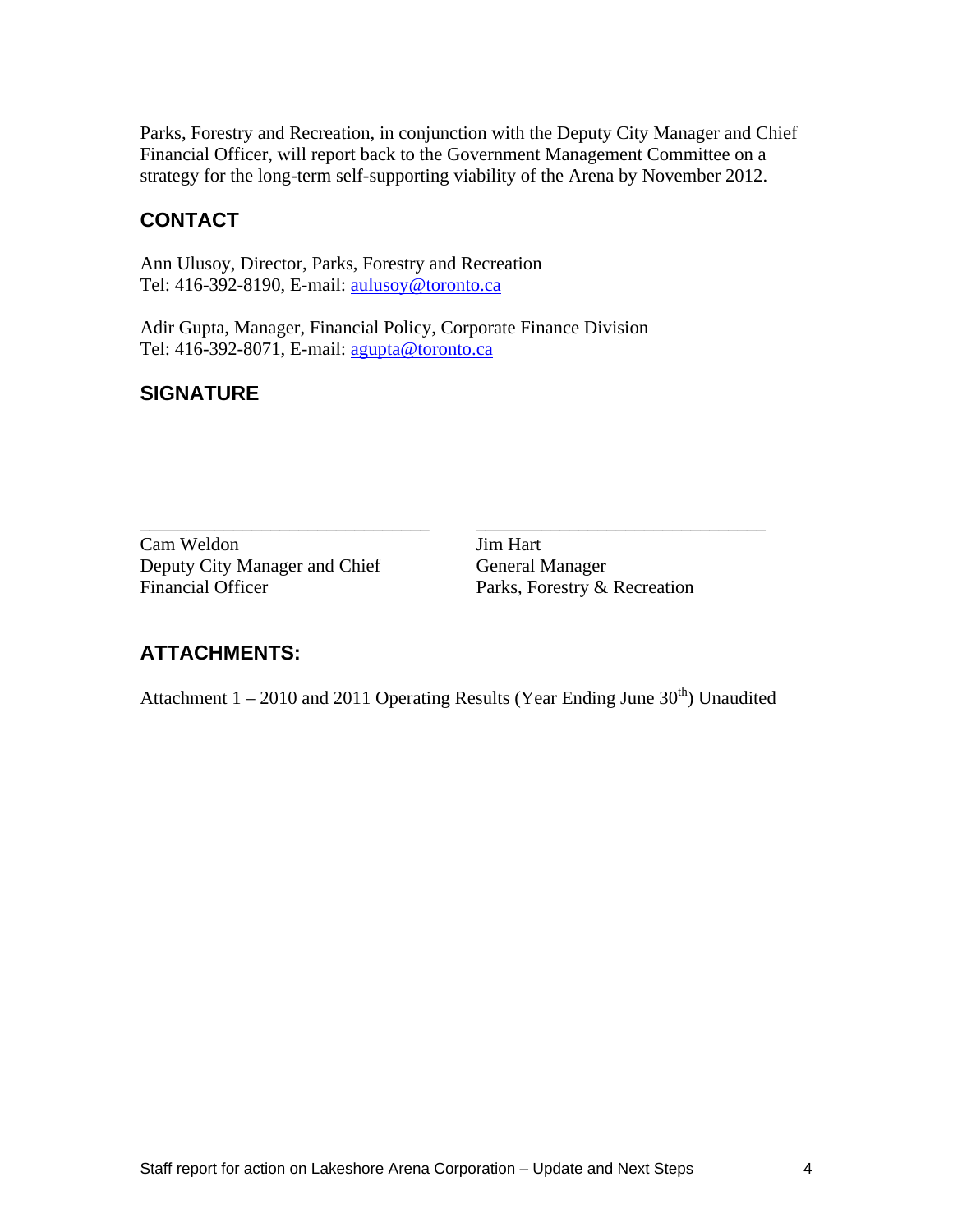Parks, Forestry and Recreation, in conjunction with the Deputy City Manager and Chief Financial Officer, will report back to the Government Management Committee on a strategy for the long-term self-supporting viability of the Arena by November 2012.

## **CONTACT**

Ann Ulusoy, Director, Parks, Forestry and Recreation Tel: 416-392-8190, E-mail: aulusoy@toronto.ca

Adir Gupta, Manager, Financial Policy, Corporate Finance Division Tel: 416-392-8071, E-mail: agupta@toronto.ca

### **SIGNATURE**

\_\_\_\_\_\_\_\_\_\_\_\_\_\_\_\_\_\_\_\_\_\_\_\_\_\_\_\_\_\_\_ \_\_\_\_\_\_\_\_\_\_\_\_\_\_\_\_\_\_\_\_\_\_\_\_\_\_\_\_\_\_\_ Cam Weldon Jim Hart Deputy City Manager and Chief General Manager Financial Officer **Parks, Forestry & Recreation** 

### **ATTACHMENTS:**

Attachment  $1 - 2010$  and 2011 Operating Results (Year Ending June  $30<sup>th</sup>$ ) Unaudited